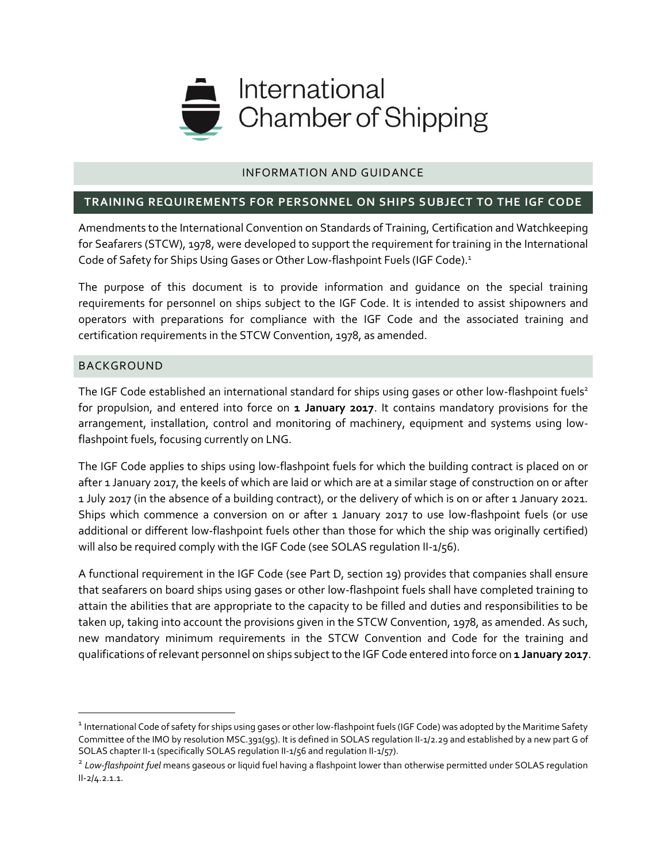

### INFORMATION AND GUIDANCE

#### **TRAINING REQUIREMENTS FOR PERSONNEL ON SHIPS SUBJECT TO THE IGF CODE**

Amendments to the International Convention on Standards of Training, Certification and Watchkeeping for Seafarers (STCW), 1978, were developed to support the requirement for training in the International Code of Safety for Ships Using Gases or Other Low-flashpoint Fuels (IGF Code).<sup>1</sup>

The purpose of this document is to provide information and guidance on the special training requirements for personnel on ships subject to the IGF Code. It is intended to assist shipowners and operators with preparations for compliance with the IGF Code and the associated training and certification requirements in the STCW Convention, 1978, as amended.

#### BACKGROUND

l

The IGF Code established an international standard for ships using gases or other low-flashpoint fuels<sup>2</sup> for propulsion, and entered into force on **1 January 2017**. It contains mandatory provisions for the arrangement, installation, control and monitoring of machinery, equipment and systems using lowflashpoint fuels, focusing currently on LNG.

The IGF Code applies to ships using low-flashpoint fuels for which the building contract is placed on or after 1 January 2017, the keels of which are laid or which are at a similar stage of construction on or after 1 July 2017 (in the absence of a building contract), or the delivery of which is on or after 1 January 2021. Ships which commence a conversion on or after 1 January 2017 to use low-flashpoint fuels (or use additional or different low-flashpoint fuels other than those for which the ship was originally certified) will also be required comply with the IGF Code (see SOLAS requlation II-1/56).

A functional requirement in the IGF Code (see Part D, section 19) provides that companies shall ensure that seafarers on board ships using gases or other low-flashpoint fuels shall have completed training to attain the abilities that are appropriate to the capacity to be filled and duties and responsibilities to be taken up, taking into account the provisions given in the STCW Convention, 1978, as amended. As such, new mandatory minimum requirements in the STCW Convention and Code for the training and qualifications of relevant personnel on ships subject to the IGF Code entered into force on **1 January 2017**.

<sup>&</sup>lt;sup>1</sup> International Code of safety for ships using gases or other low-flashpoint fuels (IGF Code) was adopted by the Maritime Safety Committee of the IMO by resolution MSC.391(95). It is defined in SOLAS regulation II-1/2.29 and established by a new part G of SOLAS chapter II-1 (specifically SOLAS regulation II-1/56 and regulation II-1/57).

<sup>2</sup> *Low-flashpoint fuel* means gaseous or liquid fuel having a flashpoint lower than otherwise permitted under SOLAS regulation II-2/4.2.1.1.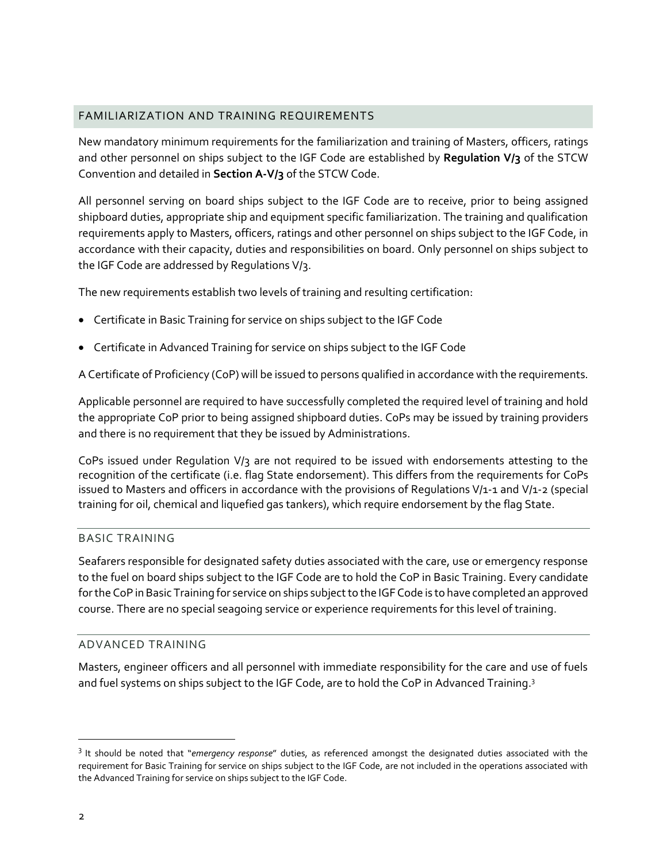### FAMILIARIZATION AND TRAINING REQUIREMENTS

New mandatory minimum requirements for the familiarization and training of Masters, officers, ratings and other personnel on ships subject to the IGF Code are established by **Regulation V/3** of the STCW Convention and detailed in **Section A-V/3** of the STCW Code.

All personnel serving on board ships subject to the IGF Code are to receive, prior to being assigned shipboard duties, appropriate ship and equipment specific familiarization. The training and qualification requirements apply to Masters, officers, ratings and other personnel on ships subject to the IGF Code, in accordance with their capacity, duties and responsibilities on board. Only personnel on ships subject to the IGF Code are addressed by Regulations V/3.

The new requirements establish two levels of training and resulting certification:

- Certificate in Basic Training for service on ships subject to the IGF Code
- Certificate in Advanced Training for service on ships subject to the IGF Code

A Certificate of Proficiency (CoP) will be issued to persons qualified in accordance with the requirements.

Applicable personnel are required to have successfully completed the required level of training and hold the appropriate CoP prior to being assigned shipboard duties. CoPs may be issued by training providers and there is no requirement that they be issued by Administrations.

CoPs issued under Regulation V/3 are not required to be issued with endorsements attesting to the recognition of the certificate (i.e. flag State endorsement). This differs from the requirements for CoPs issued to Masters and officers in accordance with the provisions of Regulations V/1-1 and V/1-2 (special training for oil, chemical and liquefied gas tankers), which require endorsement by the flag State.

### BASIC TRAINING

Seafarers responsible for designated safety duties associated with the care, use or emergency response to the fuel on board ships subject to the IGF Code are to hold the CoP in Basic Training. Every candidate for the CoP in Basic Training for service on ships subject to the IGF Code is to have completed an approved course. There are no special seagoing service or experience requirements for this level of training.

### ADVANCED TRAINING

Masters, engineer officers and all personnel with immediate responsibility for the care and use of fuels and fuel systems on ships subject to the IGF Code, are to hold the CoP in Advanced Training.<sup>3</sup>

l

<sup>3</sup> It should be noted that "*emergency response*" duties, as referenced amongst the designated duties associated with the requirement for Basic Training for service on ships subject to the IGF Code, are not included in the operations associated with the Advanced Training for service on ships subject to the IGF Code.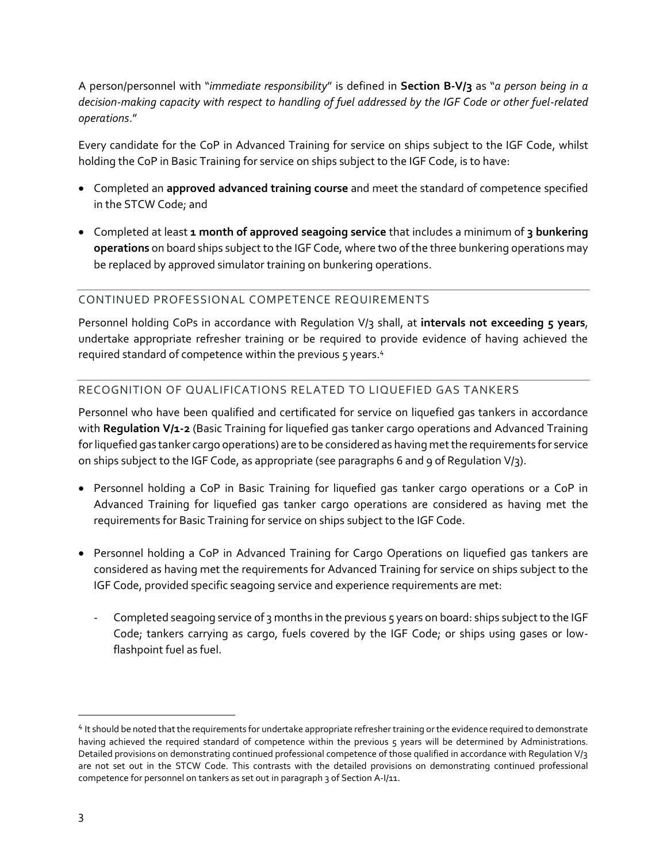A person/personnel with "*immediate responsibility*" is defined in **Section B-V/3** as "*a person being in a decision-making capacity with respect to handling of fuel addressed by the IGF Code or other fuel-related operations*."

Every candidate for the CoP in Advanced Training for service on ships subject to the IGF Code, whilst holding the CoP in Basic Training for service on ships subject to the IGF Code, is to have:

- Completed an **approved advanced training course** and meet the standard of competence specified in the STCW Code; and
- Completed at least **1 month of approved seagoing service** that includes a minimum of **3 bunkering operations** on board ships subject to the IGF Code, where two of the three bunkering operations may be replaced by approved simulator training on bunkering operations.

## CONTINUED PROFESSIONAL COMPETENCE REQUIREMENTS

Personnel holding CoPs in accordance with Regulation V/3 shall, at **intervals not exceeding 5 years**, undertake appropriate refresher training or be required to provide evidence of having achieved the required standard of competence within the previous 5 years.<sup>4</sup>

# RECOGNITION OF QUALIFICATIONS RELATED TO LIQUEFIED GAS TANKERS

Personnel who have been qualified and certificated for service on liquefied gas tankers in accordance with **Regulation V/1-2** (Basic Training for liquefied gas tanker cargo operations and Advanced Training for liquefied gas tanker cargo operations) are to be considered as having met the requirements for service on ships subject to the IGF Code, as appropriate (see paragraphs 6 and 9 of Regulation V/3).

- Personnel holding a CoP in Basic Training for liquefied gas tanker cargo operations or a CoP in Advanced Training for liquefied gas tanker cargo operations are considered as having met the requirements for Basic Training for service on ships subject to the IGF Code.
- Personnel holding a CoP in Advanced Training for Cargo Operations on liquefied gas tankers are considered as having met the requirements for Advanced Training for service on ships subject to the IGF Code, provided specific seagoing service and experience requirements are met:
	- Completed seagoing service of 3 months in the previous 5 years on board: ships subject to the IGF Code; tankers carrying as cargo, fuels covered by the IGF Code; or ships using gases or lowflashpoint fuel as fuel.

<sup>&</sup>lt;sup>4</sup> It should be noted that the requirements for undertake appropriate refresher training or the evidence required to demonstrate having achieved the required standard of competence within the previous 5 years will be determined by Administrations. Detailed provisions on demonstrating continued professional competence of those qualified in accordance with Regulation V/3 are not set out in the STCW Code. This contrasts with the detailed provisions on demonstrating continued professional competence for personnel on tankers as set out in paragraph 3 of Section A-I/11.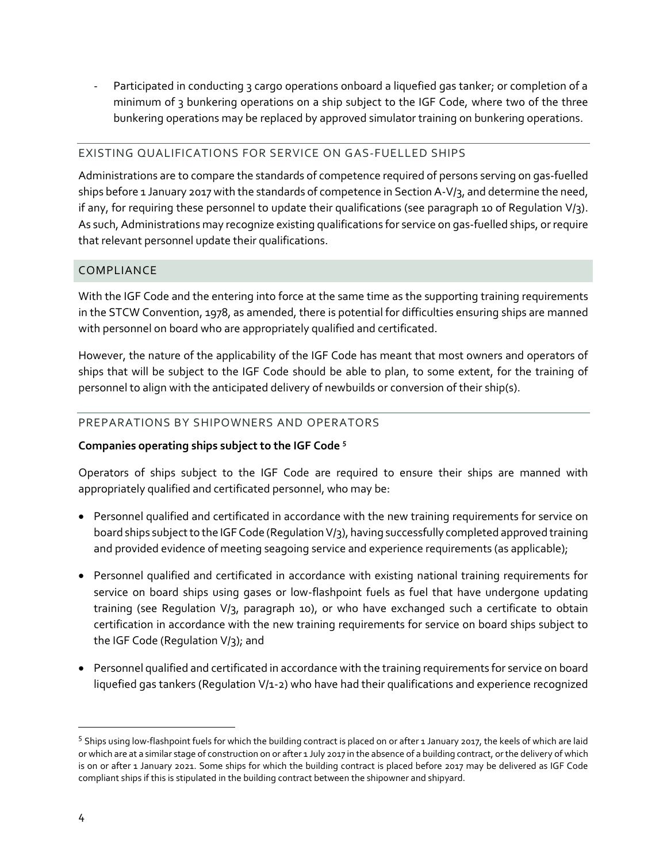- Participated in conducting 3 cargo operations onboard a liquefied gas tanker; or completion of a minimum of 3 bunkering operations on a ship subject to the IGF Code, where two of the three bunkering operations may be replaced by approved simulator training on bunkering operations.

### EXISTING QUALIFICATIONS FOR SERVICE ON GAS-FUELLED SHIPS

Administrations are to compare the standards of competence required of persons serving on gas-fuelled ships before 1 January 2017 with the standards of competence in Section A-V/3, and determine the need, if any, for requiring these personnel to update their qualifications (see paragraph 10 of Regulation V/3). As such, Administrations may recognize existing qualifications for service on gas-fuelled ships, or require that relevant personnel update their qualifications.

## COMPLIANCE

With the IGF Code and the entering into force at the same time as the supporting training requirements in the STCW Convention, 1978, as amended, there is potential for difficulties ensuring ships are manned with personnel on board who are appropriately qualified and certificated.

However, the nature of the applicability of the IGF Code has meant that most owners and operators of ships that will be subject to the IGF Code should be able to plan, to some extent, for the training of personnel to align with the anticipated delivery of newbuilds or conversion of their ship(s).

## PREPARATIONS BY SHIPOWNERS AND OPERATORS

### **Companies operating ships subject to the IGF Code <sup>5</sup>**

Operators of ships subject to the IGF Code are required to ensure their ships are manned with appropriately qualified and certificated personnel, who may be:

- Personnel qualified and certificated in accordance with the new training requirements for service on board ships subject to the IGF Code (Regulation V/3), having successfully completed approved training and provided evidence of meeting seagoing service and experience requirements (as applicable);
- Personnel qualified and certificated in accordance with existing national training requirements for service on board ships using gases or low-flashpoint fuels as fuel that have undergone updating training (see Regulation V/3, paragraph 10), or who have exchanged such a certificate to obtain certification in accordance with the new training requirements for service on board ships subject to the IGF Code (Regulation V/3); and
- Personnel qualified and certificated in accordance with the training requirements for service on board liquefied gas tankers (Regulation V/1-2) who have had their qualifications and experience recognized

<sup>&</sup>lt;sup>5</sup> Ships using low-flashpoint fuels for which the building contract is placed on or after 1 January 2017, the keels of which are laid or which are at a similar stage of construction on or after 1 July 2017 in the absence of a building contract, or the delivery of which is on or after 1 January 2021. Some ships for which the building contract is placed before 2017 may be delivered as IGF Code compliant ships if this is stipulated in the building contract between the shipowner and shipyard.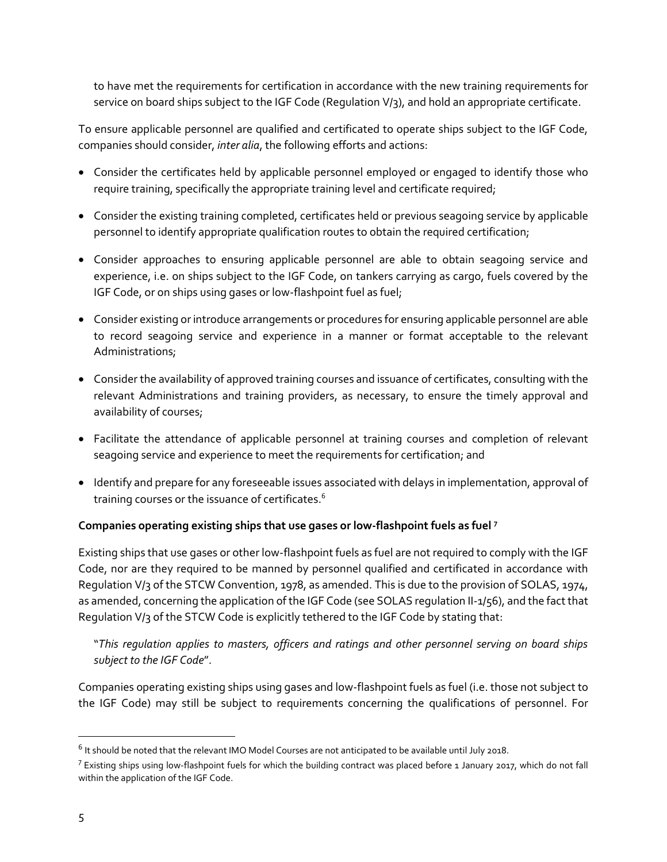to have met the requirements for certification in accordance with the new training requirements for service on board ships subject to the IGF Code (Regulation V/3), and hold an appropriate certificate.

To ensure applicable personnel are qualified and certificated to operate ships subject to the IGF Code, companies should consider, *inter alia*, the following efforts and actions:

- Consider the certificates held by applicable personnel employed or engaged to identify those who require training, specifically the appropriate training level and certificate required;
- Consider the existing training completed, certificates held or previous seagoing service by applicable personnel to identify appropriate qualification routes to obtain the required certification;
- Consider approaches to ensuring applicable personnel are able to obtain seagoing service and experience, i.e. on ships subject to the IGF Code, on tankers carrying as cargo, fuels covered by the IGF Code, or on ships using gases or low-flashpoint fuel as fuel;
- Consider existing or introduce arrangements or procedures for ensuring applicable personnel are able to record seagoing service and experience in a manner or format acceptable to the relevant Administrations;
- Consider the availability of approved training courses and issuance of certificates, consulting with the relevant Administrations and training providers, as necessary, to ensure the timely approval and availability of courses;
- Facilitate the attendance of applicable personnel at training courses and completion of relevant seagoing service and experience to meet the requirements for certification; and
- Identify and prepare for any foreseeable issues associated with delays in implementation, approval of training courses or the issuance of certificates.<sup>6</sup>

# **Companies operating existing ships that use gases or low-flashpoint fuels as fuel <sup>7</sup>**

Existing ships that use gases or other low-flashpoint fuels as fuel are not required to comply with the IGF Code, nor are they required to be manned by personnel qualified and certificated in accordance with Regulation V/3 of the STCW Convention, 1978, as amended. This is due to the provision of SOLAS, 1974, as amended, concerning the application of the IGF Code (see SOLAS regulation II-1/56), and the fact that Regulation V/3 of the STCW Code is explicitly tethered to the IGF Code by stating that:

"*This regulation applies to masters, officers and ratings and other personnel serving on board ships subject to the IGF Code*".

Companies operating existing ships using gases and low-flashpoint fuels as fuel (i.e. those not subject to the IGF Code) may still be subject to requirements concerning the qualifications of personnel. For

 $^6$  It should be noted that the relevant IMO Model Courses are not anticipated to be available until July 2018.

 $^7$  Existing ships using low-flashpoint fuels for which the building contract was placed before 1 January 2017, which do not fall within the application of the IGF Code.